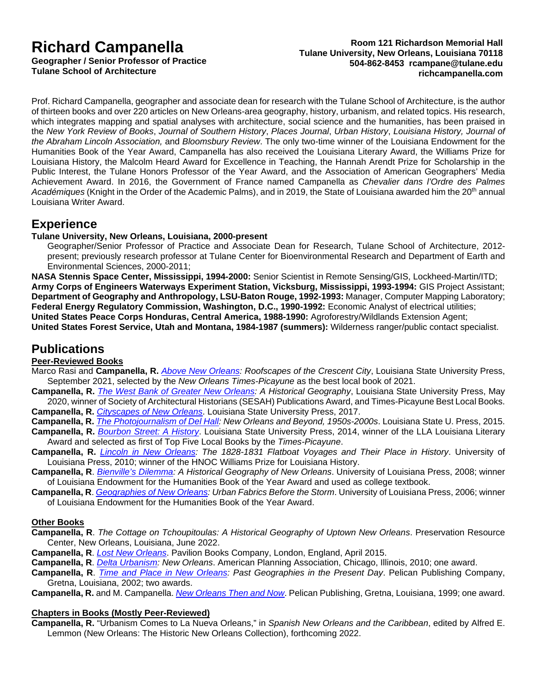# **Richard Campanella**

**Geographer / Senior Professor of Practice Tulane School of Architecture**

#### **Room 121 Richardson Memorial Hall Tulane University, New Orleans, Louisiana 70118 504-862-8453 [rcampane@tulane.edu](mailto:rcampanella@iftd.org) richcampanella.com**

Prof. Richard Campanella, geographer and associate dean for research with the Tulane School of Architecture, is the author of thirteen books and over 220 articles on New Orleans-area geography, history, urbanism, and related topics. His research, which integrates mapping and spatial analyses with architecture, social science and the humanities, has been praised in the *New York Review of Books*, *Journal of Southern History*, *Places Journal*, *Urban History*, *Louisiana History, Journal of the Abraham Lincoln Association,* and *Bloomsbury Review*. The only two-time winner of the Louisiana Endowment for the Humanities Book of the Year Award, Campanella has also received the Louisiana Literary Award, the Williams Prize for Louisiana History, the Malcolm Heard Award for Excellence in Teaching, the Hannah Arendt Prize for Scholarship in the Public Interest, the Tulane Honors Professor of the Year Award, and the Association of American Geographers' Media Achievement Award. In 2016, the Government of France named Campanella as *Chevalier dans l'Ordre des Palmes*  Académiques (Knight in the Order of the Academic Palms), and in 2019, the State of Louisiana awarded him the 20<sup>th</sup> annual Louisiana Writer Award.

### **Experience**

#### **Tulane University, New Orleans, Louisiana, 2000-present**

Geographer/Senior Professor of Practice and Associate Dean for Research, Tulane School of Architecture, 2012 present; previously research professor at Tulane Center for Bioenvironmental Research and Department of Earth and Environmental Sciences, 2000-2011;

**NASA Stennis Space Center, Mississippi, 1994-2000:** Senior Scientist in Remote Sensing/GIS, Lockheed-Martin/ITD; **Army Corps of Engineers Waterways Experiment Station, Vicksburg, Mississippi, 1993-1994:** GIS Project Assistant; **Department of Geography and Anthropology, LSU-Baton Rouge, 1992-1993:** Manager, Computer Mapping Laboratory; **Federal Energy Regulatory Commission, Washington, D.C., 1990-1992:** Economic Analyst of electrical utilities; **United States Peace Corps Honduras, Central America, 1988-1990:** Agroforestry/Wildlands Extension Agent; **United States Forest Service, Utah and Montana, 1984-1987 (summers):** Wilderness ranger/public contact specialist.

## **Publications**

#### **Peer-Reviewed Books**

- Marco Rasi and **Campanella, R.** *Above [New Orleans:](https://lsupress.org/books/detail/above-new-orleans/) Roofscapes of the Crescent City*, Louisiana State University Press, September 2021, selected by the *New Orleans Times-Picayune* as the best local book of 2021.
- **Campanella, R.** *[The West Bank of Greater New Orleans:](https://lsupress.org/books/detail/west-bank-greater-new-orleans/) A Historical Geography*, Louisiana State University Press, May 2020, winner of Society of Architectural Historians (SESAH) Publications Award, and Times-Picayune Best Local Books. **Campanella, R.** *[Cityscapes of New Orleans](https://lsupress.org/books/detail/cityscapes-of-new-orleans/)*. Louisiana State University Press, 2017.
- **Campanella, R.** *[The Photojournalism of Del Hall:](https://lsupress.org/books/detail/photojournalism-of-del-hall/) New Orleans and Beyond, 1950s-2000s*. Louisiana State U. Press, 2015.
- **Campanella, R.** *[Bourbon Street: A History](https://lsupress.org/books/detail/bourbon-street/)*. Louisiana State University Press, 2014, winner of the LLA Louisiana Literary Award and selected as first of Top Five Local Books by the *Times-Picayune*.
- **Campanella, R.** *[Lincoln in New Orleans:](http://www.ulpress.org/item_64/Lincoln-in-New-Orleans.php) The 1828-1831 Flatboat Voyages and Their Place in History*. University of Louisiana Press, 2010; winner of the HNOC Williams Prize for Louisiana History.
- **Campanella, R**. *[Bienville's Dilemma:](http://www.ulpress.org/item_24/Bienvilles-Dilemma.php) A Historical Geography of New Orleans*. University of Louisiana Press, 2008; winner of Louisiana Endowment for the Humanities Book of the Year Award and used as college textbook.
- **Campanella, R**. *[Geographies of New Orleans:](https://www.amazon.com/Geographies-New-Orleans-Fabrics-Before/dp/1887366687) Urban Fabrics Before the Storm*. University of Louisiana Press, 2006; winner of Louisiana Endowment for the Humanities Book of the Year Award.

#### **Other Books**

- **Campanella, R**. *The Cottage on Tchoupitoulas: A Historical Geography of Uptown New Orleans*. Preservation Resource Center, New Orleans, Louisiana, June 2022.
- **Campanella, R**. *[Lost New Orleans](https://www.amazon.com/Lost-New-Orleans-Richard-Campanella/dp/1909815608)*. Pavilion Books Company, London, England, April 2015.
- **Campanella, R**. *[Delta Urbanism:](https://www.amazon.com/Delta-Urbanism-Orleans-Richard-Campanella/dp/1932364854) New Orleans*. American Planning Association, Chicago, Illinois, 2010; one award.
- **Campanella, R**. *[Time and Place in New Orleans:](https://www.amazon.com/Time-Place-New-Orleans-Geographies/dp/1565549910) Past Geographies in the Present Day*. Pelican Publishing Company, Gretna, Louisiana, 2002; two awards.
- **Campanella, R.** and M. Campanella. *[New Orleans Then and Now](https://www.amazon.com/New-Orleans-Then-Richard-Campanella/dp/1565543475)*. Pelican Publishing, Gretna, Louisiana, 1999; one award.

#### **Chapters in Books (Mostly Peer-Reviewed)**

**Campanella, R.** "Urbanism Comes to La Nueva Orleans," in *Spanish New Orleans and the Caribbean*, edited by Alfred E. Lemmon (New Orleans: The Historic New Orleans Collection), forthcoming 2022.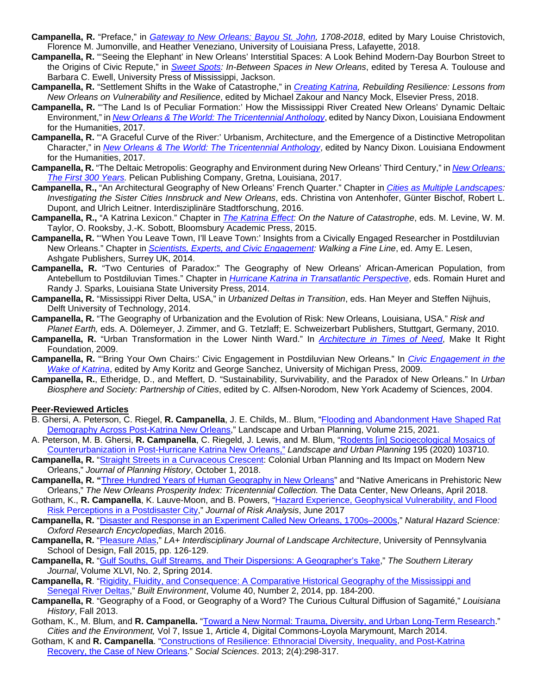- **Campanella, R.** "Preface," in *[Gateway to New Orleans: Bayou St. John,](http://www.louisianalandmarks.org/shop/books-publications/gateway-new-orleans-bayou-st-john-1708-2018) 1708-2018*, edited by Mary Louise Christovich, Florence M. Jumonville, and Heather Veneziano, University of Louisiana Press, Lafayette, 2018.
- **Campanella, R.** "'Seeing the Elephant' in New Orleans' Interstitial Spaces: A Look Behind Modern-Day Bourbon Street to the Origins of Civic Repute," in *[Sweet Spots:](http://www.upress.state.ms.us/books/2143) In-Between Spaces in New Orleans*, edited by Teresa A. Toulouse and Barbara C. Ewell, University Press of Mississippi, Jackson.
- **Campanella, R.** "Settlement Shifts in the Wake of Catastrophe," in *[Creating Katrina,](https://www.elsevier.com/books/creating-katrina-rebuilding-resilience/zakour/978-0-12-809557-7) Rebuilding Resilience: Lessons from New Orleans on Vulnerability and Resilience*, edited by Michael Zakour and Nancy Mock, Elsevier Press, 2018.
- **Campanella, R.** "'The Land Is of Peculiar Formation:' How the Mississippi River Created New Orleans' Dynamic Deltaic Environment," in *[New Orleans & The World: The Tricentennial Anthology](https://www.amazon.com/New-Orleans-World-1718-2018-Tricentennial/dp/0692941924)*, edited by Nancy Dixon, Louisiana Endowment for the Humanities, 2017.
- **Campanella, R.** "'A Graceful Curve of the River:' Urbanism, Architecture, and the Emergence of a Distinctive Metropolitan Character," in *[New Orleans & The World: The Tricentennial Anthology](https://www.amazon.com/New-Orleans-World-1718-2018-Tricentennial/dp/0692941924)*, edited by Nancy Dixon. Louisiana Endowment for the Humanities, 2017.
- **Campanella, R.** "The Deltaic Metropolis: Geography and Environment during New Orleans' Third Century," in *[New Orleans:](https://www.amazon.com/New-Orleans-First-300-Years/dp/1455621609) [The First 300 Years.](https://www.amazon.com/New-Orleans-First-300-Years/dp/1455621609)* Pelican Publishing Company, Gretna, Louisiana, 2017.
- **Campanella, R.,** "An Architectural Geography of New Orleans' French Quarter." Chapter in *[Cities as Multiple Landscapes:](http://press.uchicago.edu/ucp/books/book/distributed/C/bo26345851.html) Investigating the Sister Cities Innsbruck and New Orleans*, eds. Christina von Antenhofer, Günter Bischof, Robert L. Dupont, and Ulrich Leitner. Interdisziplinäre Stadtforschung, 2016.
- **Campanella, R.,** "A Katrina Lexicon." Chapter in *[The Katrina Effect:](https://www.bloomsbury.com/us/the-katrina-effect-9781472595188/) On the Nature of Catastrophe*, eds. M. Levine, W. M. Taylor, O. Rooksby, J.-K. Sobott, Bloomsbury Academic Press, 2015.
- **Campanella, R.** "'When You Leave Town, I'll Leave Town:' Insights from a Civically Engaged Researcher in Postdiluvian New Orleans." Chapter in *[Scientists, Experts, and Civic Engagement:](https://www.amazon.com/Scientists-Experts-Civic-Engagement-Environmental/dp/1472415248) Walking a Fine Line*, ed. Amy E. Lesen, Ashgate Publishers, Surrey UK, 2014.
- **Campanella, R.** "Two Centuries of Paradox:" The Geography of New Orleans' African-American Population, from Antebellum to Postdiluvian Times." Chapter in *[Hurricane Katrina in Transatlantic Perspective](https://lsupress.org/books/detail/hurricane-katrina-in-transatlantic-perspective/)*, eds. Romain Huret and Randy J. Sparks, Louisiana State University Press, 2014.
- **Campanella, R.** "Mississippi River Delta, USA," in *Urbanized Deltas in Transition*, eds. Han Meyer and Steffen Nijhuis, Delft University of Technology, 2014.
- **Campanella, R.** "The Geography of Urbanization and the Evolution of Risk: New Orleans, Louisiana, USA." *Risk and Planet Earth,* eds. A. Dölemeyer, J. Zimmer, and G. Tetzlaff; E. Schweizerbart Publishers, Stuttgart, Germany, 2010.
- **Campanella, R.** "Urban Transformation in the Lower Ninth Ward." In *[Architecture in Times of Need](https://www.amazon.com/Architecture-Times-Need-Rebuilding-Orleans/dp/3791342762)*, Make It Right Foundation, 2009.
- **Campanella, R.** "'Bring Your Own Chairs:' Civic Engagement in Postdiluvian New Orleans." In *[Civic Engagement in the](https://www.press.umich.edu/923684/civic_engagement_in_the_wake_of_katrina)  [Wake of Katrina](https://www.press.umich.edu/923684/civic_engagement_in_the_wake_of_katrina)*, edited by Amy Koritz and George Sanchez, University of Michigan Press, 2009.
- **Campanella, R.**, Etheridge, D., and Meffert, D. "Sustainability, Survivability, and the Paradox of New Orleans." In *Urban Biosphere and Society: Partnership of Cities*, edited by C. Alfsen-Norodom, New York Academy of Sciences, 2004.

#### **Peer-Reviewed Articles**

- B. Ghersi, A. Peterson, C. Riegel, **R. Campanella**, J. E. Childs, M.. Blum, ["Flooding and Abandonment Have Shaped Rat](https://www.sciencedirect.com/science/article/pii/S016920462100181X)  [Demography Across Post-Katrina New Orleans,](https://www.sciencedirect.com/science/article/pii/S016920462100181X)" Landscape and Urban Planning, Volume 215, 2021.
- A. Peterson, M. B. Ghersi, **R. Campanella**, C. Riegeld, J. Lewis, and M. Blum, "Rodents [\[in\] Socioecological Mosaics of](https://www.academia.edu/41204973/Rodent_assemblage_structure_reflects_socioecological_mosaics_of_counter-_urbanization_across_post-Hurricane_Katrina_New_Orleans)  [Counterurbanization in Post-Hurricane Katrina New Orleans,"](https://www.academia.edu/41204973/Rodent_assemblage_structure_reflects_socioecological_mosaics_of_counter-_urbanization_across_post-Hurricane_Katrina_New_Orleans) *Landscape and Urban Planning* 195 (2020) 103710.
- **Campanella, R.** ["Straight Streets in a Curvaceous Crescent:](http://journals.sagepub.com/eprint/T4ICAXjc3Kubsu4FcVbY/full) Colonial Urban Planning and Its Impact on Modern New Orleans," *Journal of Planning History*, October 1, 2018.
- **Campanella, R. "**[Three Hundred Years of Human Geography in New Orleans"](https://www.datacenterresearch.org/reports_analysis/three-hundred-years-of-human-geography-in-new-orleans/) and "Native Americans in Prehistoric New Orleans," *The New Orleans Prosperity Index: Tricentennial Collection.* The Data Center, New Orleans, April 2018.
- Gotham, K., **R. Campanella**, K. Lauve-Moon, and B. Powers, ["Hazard Experience, Geophysical Vulnerability, and Flood](http://onlinelibrary.wiley.com/doi/10.1111/risa.12830/epdf)  [Risk Perceptions in a Postdisaster City,](http://onlinelibrary.wiley.com/doi/10.1111/risa.12830/epdf)" *Journal of Risk Analysis*, June 2017
- **Campanella, R.** ["Disaster and Response in an Experiment Called New Orleans, 1700s–2000s,](http://naturalhazardscience.oxfordre.com/view/10.1093/acrefore/9780199389407.001.0001/acrefore-9780199389407-e-1)" *Natural Hazard Science: Oxford Research Encyclopedias*, March 2016.
- **Campanella, R.** ["Pleasure Atlas,](http://richcampanella.com/assets/pdf/article_Campanella_Journal%20of%20Landscape%20Arch_Fall%202015_Pleasure%20Atlas.pdf)" *LA+ Interdisciplinary Journal of Landscape Architecture*, University of Pennsylvania School of Design, Fall 2015, pp. 126-129.
- **Campanella, R.** ["Gulf Souths, Gulf Streams, and Their Dispersions: A Geographer's Take,](https://muse.jhu.edu/article/564093)" *The Southern Literary Journal*, Volume XLVI, No. 2, Spring 2014.
- **Campanella, R**. ["Rigidity, Fluidity, and Consequence: A Comparative Historical Geography of the Mississippi and](https://www.researchgate.net/publication/262576448_Fluidity_Rigidity_and_Consequence_A_Comparative_Historical_Geography_of_the_Mississippi_and_Senegal_River_Deltas_and_the_Deltaic_Urbanism_of_New_Orleans_and_Saint-Louis)  [Senegal River Deltas,](https://www.researchgate.net/publication/262576448_Fluidity_Rigidity_and_Consequence_A_Comparative_Historical_Geography_of_the_Mississippi_and_Senegal_River_Deltas_and_the_Deltaic_Urbanism_of_New_Orleans_and_Saint-Louis)" *Built Environment*, Volume 40, Number 2, 2014, pp. 184-200.
- **Campanella, R**. "Geography of a Food, or Geography of a Word? The Curious Cultural Diffusion of Sagamité," *Louisiana History*, Fall 2013.
- Gotham, K., M. Blum, and **R. Campanella.** ["Toward a New Normal: Trauma, Diversity, and Urban Long-Term Research.](http://digitalcommons.lmu.edu/cate/vol7/iss1/4)" *Cities and the Environment,* Vol 7, Issue 1, Article 4, Digital Commons-Loyola Marymount, March 2014.
- Gotham, K and **R. Campanella**. ["Constructions of Resilience: Ethnoracial Diversity, Inequality, and Post-Katrina](http://www.mdpi.com/2076-0760/2/4/298)  [Recovery, the Case of New](http://www.mdpi.com/2076-0760/2/4/298) Orleans." *Social Sciences*. 2013; 2(4):298-317.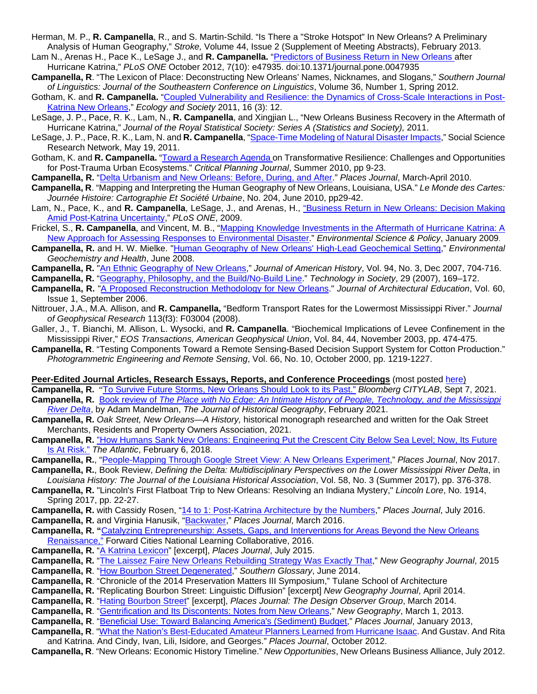- Herman, M. P., **R. Campanella**, R., and S. Martin-Schild. "Is There a "Stroke Hotspot" In New Orleans? A Preliminary Analysis of Human Geography," *Stroke,* Volume 44, Issue 2 (Supplement of Meeting Abstracts), February 2013.
- Lam N., Arenas H., Pace K., LeSage J., and **R. Campanella.** ["Predictors of Business Return in New Orleans](http://richcampanella.com/assets/pdf/article_Lam-el-al-Campanella_Predictors_of_Business_Return_Katrina.pdf) after Hurricane Katrina," *PLoS ONE* October 2012, 7(10): e47935. doi:10.1371/journal.pone.0047935
- **Campanella, R**. "The Lexicon of Place: Deconstructing New Orleans' Names, Nicknames, and Slogans," *Southern Journal of Linguistics: Journal of the Southeastern Conference on Linguistics*, Volume 36, Number 1, Spring 2012.
- Gotham, K. and **R. Campanella.** ["Coupled Vulnerability and Resilience: the Dynamics of Cross-Scale Interactions in Post-](http://www.ecologyandsociety.org/vol16/iss3/art12)[Katrina New Orleans,](http://www.ecologyandsociety.org/vol16/iss3/art12)" *Ecology and Society* 2011, 16 (3): 12.
- LeSage, J. P., Pace, R. K., Lam, N., **R. Campanella**, and Xingjian L., "New Orleans Business Recovery in the Aftermath of Hurricane Katrina," *Journal of the Royal Statistical Society: Series A (Statistics and Society),* 2011.
- LeSage, J. P., Pace, R. K., Lam, N. and **R. Campanella**, ["Space-Time Modeling of Natural Disaster Impacts,](http://ssrn.com/abstract=1846749)" Social Science Research Network, May 19, 2011.
- Gotham, K. and **R. Campanella.** ["Toward a Research Agenda](http://richcampanella.com/assets/pdf/article_Gotham%20Campanella%20Critical%20Planning-resilience%20of%20New%20Orleans.pdf) on Transformative Resilience: Challenges and Opportunities for Post-Trauma Urban Ecosystems." *Critical Planning Journal*, Summer 2010, pp 9-23.
- **Campanella, R.** ["Delta Urbanism and New Orleans: Before, During, and After.](https://placesjournal.org/article/delta-urbanism-and-new-orleans-after/)" *Places Journal*, March-April 2010.
- **Campanella, R**. "Mapping and Interpreting the Human Geography of New Orleans, Louisiana, USA." *Le Monde des Cartes: Journée Histoire: Cartographie Et Société Urbaine*, No. 204, June 2010, pp29-42.
- Lam, N., Pace, K., and **R. Campanella**, LeSage, J., and Arenas, H., ["Business Return in New Orleans: Decision Making](http://dx.plos.org/10.1371/journal.pone.0006765)  [Amid Post-Katrina Uncertainty,](http://dx.plos.org/10.1371/journal.pone.0006765)" *PLoS ONE*, 2009.
- Frickel, S., **R. Campanella**, and Vincent, M. B., ["Mapping Knowledge Investments in the Aftermath of Hurricane Katrina: A](http://dx.doi.org/10.1016/j.envsci.2008.11.006)  [New Approach for Assessing Responses to Environmental Disaster.](http://dx.doi.org/10.1016/j.envsci.2008.11.006)" *Environmental Science & Policy*, January 2009.
- **Campanella, R.** and H. W. Mielke. ["Human Geography of New Orleans' High-Lead Geochemical Setting,](http://www.springerlink.com/%20content/t63gj0022vn73wh4)" *Environmental Geochemistry and Health*, June 2008.
- **Campanella, R.** "An [Ethnic Geography of New Orleans,](http://www.journalofamericanhistory.org/projects/katrina/Campanella.html)" *Journal of American History*, Vol. 94, No. 3, Dec 2007, 704-716.
- **Campanella, R.** ["Geography, Philosophy, and the Build/No-Build Line.](http://richcampanella.com/assets/pdf/article_Campanella%20Technology%20in%20Society-post-Katrina%20New%20Orleans.pdf)" *Technology in Society*, 29 (2007), 169–172.
- **Campanella, R.** ["A Proposed Reconstruction Methodology for New Orleans.](http://richcampanella.com/assets/pdf/article_Campanella%20et%20al%20Architectural%20Education-rebuilding%20New%20Orleans.pdf)" *Journal of Architectural Education*, Vol. 60, Issue 1, September 2006.
- Nittrouer, J.A., M.A. Allison, and **R. Campanella,** "Bedform Transport Rates for the Lowermost Mississippi River." *Journal of Geophysical Research* 113(f3): F03004 (2008).
- Galler, J., T. Bianchi, M. Allison, L. Wysocki, and **R. Campanella**. "Biochemical Implications of Levee Confinement in the Mississippi River," *EOS Transactions, American Geophysical Union*, Vol. 84, 44, November 2003, pp. 474-475.
- **Campanella, R**. "Testing Components Toward a Remote Sensing-Based Decision Support System for Cotton Production." *Photogrammetric Engineering and Remote Sensing*, Vol. 66, No. 10, October 2000, pp. 1219-1227.

#### **Peer-Edited Journal Articles, Research Essays, Reports, and Conference Proceedings** (most posted [here\)](http://richcampanella.com/?page=articles)

- **Campanella, R.** "[To Survive Future Storms, New Orleans Should Look to its Past."](https://www.bloomberg.com/news/articles/2021-09-07/new-orleans-needs-a-mass-evacuation-alternative?utm_source=twitter&utm_campaign=socialflow-organic&utm_medium=social&utm_content=citylab) *Bloomberg CITYLAB*, Sept 7, 2021. **Campanella, R.** Book review of *[The Place with No Edge: An Intimate History of People, Technology, and the Mississippi](https://www.sciencedirect.com/science/article/pii/S0305748821000104?dgcid=author)  [River Delta](https://www.sciencedirect.com/science/article/pii/S0305748821000104?dgcid=author)*, by Adam Mandelman, *The Journal of Historical Geography*, February 2021.
- **Campanella, R.** *Oak Street, New Orleans—A History,* historical monograph researched and written for the Oak Street Merchants, Residents and Property Owners Association, 2021.
- **Campanella, R.** ["How Humans Sank New Orleans: Engineering Put the Crescent City Below Sea Level;](https://www.theatlantic.com/technology/archive/2018/02/how-humans-sank-new-orleans/552323/?utm_source=atltw) Now, Its Future [Is At Risk."](https://www.theatlantic.com/technology/archive/2018/02/how-humans-sank-new-orleans/552323/?utm_source=atltw) *The Atlantic*, February 6, 2018.
- **Campanella, R.**, ["People-Mapping Through Google Street View: A New Orleans Experiment,](https://placesjournal.org/article/people-mapping-through-google-street-view/)" *Places Journal*, Nov 2017.
- **Campanella, R.**, Book Review, *Defining the Delta: Multidisciplinary Perspectives on the Lower Mississippi River Delta*, in *Louisiana History: The Journal of the Louisiana Historical Association*, Vol. 58, No. 3 (Summer 2017), pp. 376-378.
- **Campanella, R.** "Lincoln's First Flatboat Trip to New Orleans: Resolving an Indiana Mystery," *Lincoln Lore*, No. 1914, Spring 2017, pp. 22-27.
- **Campanella, R.** with Cassidy Rosen, ["14 to 1: Post-Katrina Architecture by the Numbers,](https://placesjournal.org/article/post-katrina-architecture/)" *Places Journal*, July 2016.
- **Campanella, R.** and Virginia Hanusik, ["Backwater,](https://placesjournal.org/article/backwater-mississippi-river-delta/)" *Places Journal*, March 2016.
- **Campanella, R. "**[Catalyzing Entrepreneurship: Assets, Gaps, and Interventions for Areas Beyond the New Orleans](https://www.google.com/url?q=http://www.forwardcities.org/documents/tForwardCities-NewOrleansbyRichardCampanellaNovember2015_lo-res.pdf&sa=U&ved=0ahUKEwiT-rayt5_RAhXr5YMKHUWUAdgQFggLMAM&client=internal-uds-cse&usg=AFQjCNHU2gHDOmcFpQlkC5UWWrHltWv06A)  [Renaissance,"](https://www.google.com/url?q=http://www.forwardcities.org/documents/tForwardCities-NewOrleansbyRichardCampanellaNovember2015_lo-res.pdf&sa=U&ved=0ahUKEwiT-rayt5_RAhXr5YMKHUWUAdgQFggLMAM&client=internal-uds-cse&usg=AFQjCNHU2gHDOmcFpQlkC5UWWrHltWv06A) Forward Cities National Learning Collaborative, 2016.
- **Campanella, R.** ["A Katrina Lexicon"](https://placesjournal.org/article/a-katrina-lexicon/) [excerpt], *Places Journal*, July 2015.
- **Campanella, R.** ["The Laissez Faire New Orleans Rebuilding Strategy Was Exactly That,](http://www.newgeography.com/content/004995-special-report-the-laissez-faire-new-orleans-rebuilding-strategy-was-exactly-that)" *New Geography Journal*, 2015
- **Campanella, R**. ["How Bourbon Street Degenerated,](http://southernglossary.com/)" *Southern Glossary*, June 2014.
- **Campanella, R**. "Chronicle of the 2014 Preservation Matters III Symposium," Tulane School of Architecture
- **Campanella, R.** "Replicating Bourbon Street: Linguistic Diffusion" [excerpt] *New Geography Journal*, April 2014.
- **Campanella, R**. ["Hating Bourbon Street"](https://placesjournal.org/article/hating-bourbon-street/) [excerpt], *Places Journal: The Design Observer Group*, March 2014.
- **Campanella, R**. ["Gentrification and Its Discontents: Notes from New Orleans,](http://www.newgeography.com/content/003526-gentrification-and-its-discontents-notes-new-orleans)" *New Geography*, March 1, 2013.
- **Campanella, R**. ["Beneficial Use: Toward Balancing America's \(Sediment\) Budget,](https://placesjournal.org/article/beneficial-use-toward-balancing-americas-sediment-budget/)" *Places Journal*, January 2013,
- **Campanella, R**. ["What the Nation's Best-Educated Amateur Planners Learned from Hurricane Isaac.](https://placesjournal.org/article/the-nations-best-educated-amateur-planners/) And Gustav. And Rita and Katrina. And Cindy, Ivan, Lili, Isidore, and Georges." *Places Journal*, October 2012.
- **Campanella, R**. "New Orleans: Economic History Timeline." *New Opportunities*, New Orleans Business Alliance, July 2012.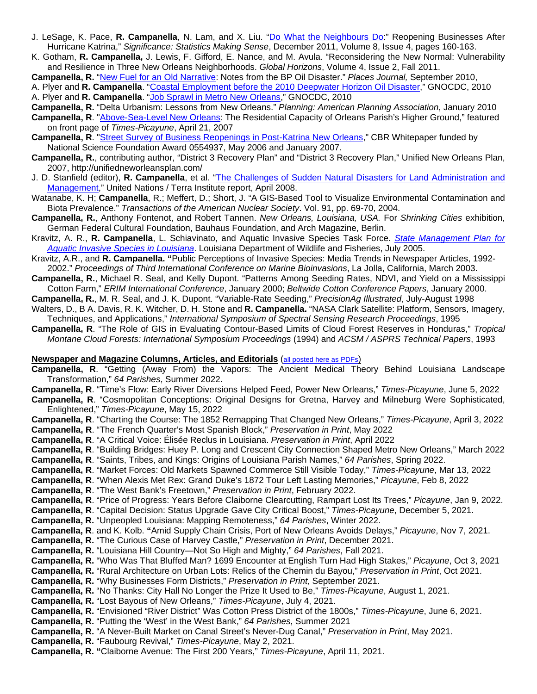- J. LeSage, K. Pace, **R. Campanella**, N. Lam, and X. Liu. ["Do What the Neighbours Do:](http://richcampanella.com/assets/pdf/Article_LeSage_Pace_Campanella_Lam_Liu_Do%20What%20the%20Neighbours%20Do.pdf)" Reopening Businesses After Hurricane Katrina," *Significance: Statistics Making Sense*, December 2011, Volume 8, Issue 4, pages 160-163.
- K. Gotham, **R. Campanella,** J. Lewis, F. Gifford, E. Nance, and M. Avula. "Reconsidering the New Normal: Vulnerability and Resilience in Three New Orleans Neighborhoods. *Global Horizons*, Volume 4, Issue 2, Fall 2011.

**Campanella, R.** ["New Fuel for an Old Narrative:](https://placesjournal.org/article/new-fuel-for-an-old-narrative-notes-on-the-bp-oil-disaster/) Notes from the BP Oil Disaster." *Places Journal,* September 2010,

A. Plyer and **R. Campanella**. ["Coastal Employment before the 2010 Deepwater Horizon Oil Disaster,](https://gnocdc.s3.amazonaws.com/reports/GNOCDC_CoastalEmployment.pdf)" GNOCDC, 2010 A. Plyer and **R. Campanella**. "Job [Sprawl in Metro New Orleans,](http://www.gnocdc.org/JobSprawl/index.html)" GNOCDC, 2010

**Campanella, R.** "Delta Urbanism: Lessons from New Orleans." *Planning: American Planning Association*, January 2010

- **Campanella, R**. ["Above-Sea-Level New Orleans:](http://richcampanella.com/assets/pdf/article_Campanella%20Places%20Journal-delta%20urbanism%20New%20Orleans.pdf) The Residential Capacity of Orleans Parish's Higher Ground," featured on front page of *Times-Picayune*, April 21, 2007
- **Campanella, R**. ["Street Survey of Business Reopenings in Post-Katrina New Orleans,](http://richcampanella.com/assets/pdf/study_Campanella%20analysis%20of%20post-Katrina%20business%20reopenings%20in%20New%20Orleans.pdf)" CBR Whitepaper funded by National Science Foundation Award 0554937, May 2006 and January 2007.
- **Campanella, R.**, contributing author, "District 3 Recovery Plan" and "District 3 Recovery Plan," Unified New Orleans Plan, 2007, http://unifiedneworleansplan.com/
- J. D. Stanfield (editor), **R. Campanella**, et al. ["The Challenges of Sudden Natural Disasters for Land Administration and](http://www.terrainstitute.org/)  [Management,](http://www.terrainstitute.org/)" United Nations / Terra Institute report, April 2008.
- Watanabe, K. H; **Campanella**, R.; Meffert, D.; Short, J. "A GIS-Based Tool to Visualize Environmental Contamination and Biota Prevalence." *Transactions of the American Nuclear Society*. Vol. 91, pp. 69-70, 2004.
- **Campanella, R.**, Anthony Fontenot, and Robert Tannen. *New Orleans, Louisiana, USA.* For *Shrinking Cities* exhibition, German Federal Cultural Foundation, Bauhaus Foundation, and Arch Magazine, Berlin.
- Kravitz, A. R., **R. Campanella**, L. Schiavinato, and Aquatic Invasive Species Task Force. *[State Management Plan for](http://richcampanella.com/assets/pdf/study_Kravitz%20Campanella%20et%20al-Louisiana%20Aquatic%20Invasive%20Species%20Management%20Plan.pdf)  [Aquatic Invasive Species in Louisiana](http://richcampanella.com/assets/pdf/study_Kravitz%20Campanella%20et%20al-Louisiana%20Aquatic%20Invasive%20Species%20Management%20Plan.pdf)*. Louisiana Department of Wildlife and Fisheries, July 2005.
- Kravitz, A.R., and **R. Campanella. "**Public Perceptions of Invasive Species: Media Trends in Newspaper Articles, 1992- 2002." *Proceedings of Third International Conference on Marine Bioinvasions*, La Jolla, California, March 2003.
- **Campanella, R.**, Michael R. Seal, and Kelly Dupont. "Patterns Among Seeding Rates, NDVI, and Yield on a Mississippi Cotton Farm," *ERIM International Conference*, January 2000; *Beltwide Cotton Conference Papers*, January 2000.
- **Campanella, R.**, M. R. Seal, and J. K. Dupont. "Variable-Rate Seeding," *PrecisionAg Illustrated*, July-August 1998

Walters, D., B A. Davis, R. K. Witcher, D. H. Stone and **R. Campanella.** "NASA Clark Satellite: Platform, Sensors, Imagery, Techniques, and Applications," *International Symposium of Spectral Sensing Research Proceedings*, 1995

**Campanella, R**. "The Role of GIS in Evaluating Contour-Based Limits of Cloud Forest Reserves in Honduras," *Tropical Montane Cloud Forests: International Symposium Proceedings* (1994) and *ACSM / ASPRS Technical Papers*, 1993

#### **Newspaper and Magazine Columns, Articles, and Editorials** [\(all posted here as PDFs\)](http://richcampanella.com/?page=articles)

- **Campanella, R**. "Getting (Away From) the Vapors: The Ancient Medical Theory Behind Louisiana Landscape Transformation," *64 Parishes*, Summer 2022.
- **Campanella, R**. "Time's Flow: Early River Diversions Helped Feed, Power New Orleans," *Times-Picayune*, June 5, 2022
- **Campanella, R**. "Cosmopolitan Conceptions: Original Designs for Gretna, Harvey and Milneburg Were Sophisticated, Enlightened," *Times-Picayune*, May 15, 2022
- **Campanella, R**. "Charting the Course: The 1852 Remapping That Changed New Orleans," *Times-Picayune*, April 3, 2022
- **Campanella, R**. "The French Quarter's Most Spanish Block," *Preservation in Print*, May 2022
- **Campanella, R**. "A Critical Voice: Élisée Reclus in Louisiana. *Preservation in Print*, April 2022
- **Campanella, R**. "Building Bridges: Huey P. Long and Crescent City Connection Shaped Metro New Orleans," March 2022
- **Campanella, R**. "Saints, Tribes, and Kings: Origins of Louisiana Parish Names," *64 Parishes*, Spring 2022.
- **Campanella, R**. "Market Forces: Old Markets Spawned Commerce Still Visible Today," *Times-Picayune*, Mar 13, 2022
- **Campanella, R**. "When Alexis Met Rex: Grand Duke's 1872 Tour Left Lasting Memories," *Picayune*, Feb 8, 2022
- **Campanella, R**. "The West Bank's Freetown," *Preservation in Print*, February 2022.
- **Campanella, R**. "Price of Progress: Years Before Claiborne Clearcutting, Rampart Lost Its Trees," *Picayune*, Jan 9, 2022.
- **Campanella, R**. "Capital Decision: Status Upgrade Gave City Critical Boost," *Times-Picayune*, December 5, 2021.
- **Campanella, R.** "Unpeopled Louisiana: Mapping Remoteness," *64 Parishes*, Winter 2022.
- **Campanella, R**. and K. Kolb. **"**Amid Supply Chain Crisis, Port of New Orleans Avoids Delays," *Picayune*, Nov 7, 2021.
- **Campanella, R.** "The Curious Case of Harvey Castle," *Preservation in Print*, December 2021.
- **Campanella, R.** "Louisiana Hill Country—Not So High and Mighty," *64 Parishes*, Fall 2021.
- **Campanella, R.** "Who Was That Bluffed Man? 1699 Encounter at English Turn Had High Stakes," *Picayune*, Oct 3, 2021
- **Campanella, R.** "Rural Architecture on Urban Lots: Relics of the Chemin du Bayou," *Preservation in Print*, Oct 2021.
- **Campanella, R.** "Why Businesses Form Districts," *Preservation in Print*, September 2021.
- **Campanella, R.** "No Thanks: City Hall No Longer the Prize It Used to Be," *Times-Picayune*, August 1, 2021.
- **Campanella, R.** "Lost Bayous of New Orleans," *Times-Picayune*, July 4, 2021.
- **Campanella, R.** "Envisioned "River District" Was Cotton Press District of the 1800s," *Times-Picayune*, June 6, 2021.
- **Campanella, R.** "Putting the 'West' in the West Bank," *64 Parishes*, Summer 2021
- **Campanella, R.** "A Never-Built Market on Canal Street's Never-Dug Canal," *Preservation in Print*, May 2021.
- **Campanella, R.** "Faubourg Revival," *Times-Picayune*, May 2, 2021.
- **Campanella, R. "**Claiborne Avenue: The First 200 Years," *Times-Picayune*, April 11, 2021.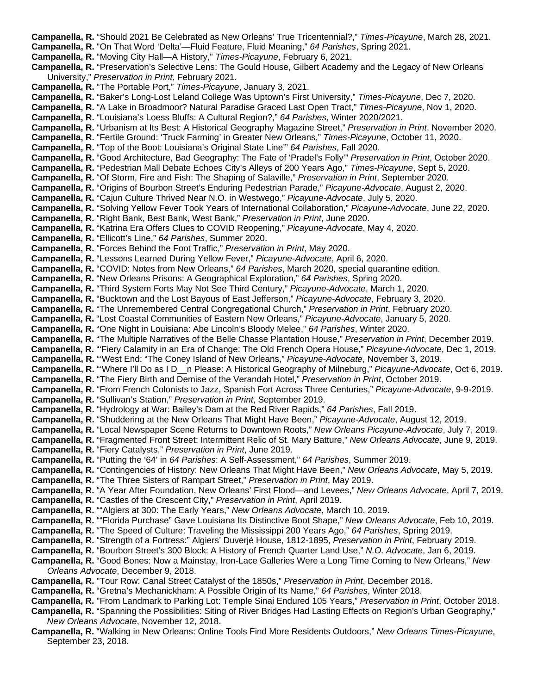**Campanella, R.** "Should 2021 Be Celebrated as New Orleans' True Tricentennial?," *Times-Picayune*, March 28, 2021. **Campanella, R.** "On That Word 'Delta'—Fluid Feature, Fluid Meaning," *64 Parishes*, Spring 2021. **Campanella, R.** "Moving City Hall—A History," *Times-Picayune*, February 6, 2021. **Campanella, R.** "Preservation's Selective Lens: The Gould House, Gilbert Academy and the Legacy of New Orleans University," *Preservation in Print*, February 2021. **Campanella, R.** "The Portable Port," *Times-Picayune*, January 3, 2021. **Campanella, R.** "Baker's Long-Lost Leland College Was Uptown's First University," *Times-Picayune*, Dec 7, 2020. **Campanella, R.** "A Lake in Broadmoor? Natural Paradise Graced Last Open Tract," *Times-Picayune*, Nov 1, 2020. **Campanella, R.** "Louisiana's Loess Bluffs: A Cultural Region?," *64 Parishes*, Winter 2020/2021. **Campanella, R.** "Urbanism at Its Best: A Historical Geography Magazine Street," *Preservation in Print*, November 2020. **Campanella, R.** "Fertile Ground: 'Truck Farming' in Greater New Orleans," *Times-Picayune*, October 11, 2020. **Campanella, R.** "Top of the Boot: Louisiana's Original State Line'" *64 Parishes*, Fall 2020. **Campanella, R.** "Good Architecture, Bad Geography: The Fate of 'Pradel's Folly'" *Preservation in Print*, October 2020. **Campanella, R.** "Pedestrian Mall Debate Echoes City's Alleys of 200 Years Ago," *Times-Picayune*, Sept 5, 2020. **Campanella, R.** "Of Storm, Fire and Fish: The Shaping of Salaville," *Preservation in Print*, September 2020. **Campanella, R.** "Origins of Bourbon Street's Enduring Pedestrian Parade," *Picayune-Advocate*, August 2, 2020. **Campanella, R.** "Cajun Culture Thrived Near N.O. in Westwego," *Picayune-Advocate*, July 5, 2020. **Campanella, R.** "Solving Yellow Fever Took Years of International Collaboration," *Picayune-Advocate*, June 22, 2020. **Campanella, R.** "Right Bank, Best Bank, West Bank," *Preservation in Print*, June 2020. **Campanella, R.** "Katrina Era Offers Clues to COVID Reopening," *Picayune-Advocate*, May 4, 2020. **Campanella, R.** "Ellicott's Line," *64 Parishes*, Summer 2020. **Campanella, R.** "Forces Behind the Foot Traffic," *Preservation in Print*, May 2020. **Campanella, R.** "Lessons Learned During Yellow Fever," *Picayune-Advocate*, April 6, 2020. **Campanella, R.** "COVID: Notes from New Orleans," *64 Parishes*, March 2020, special quarantine edition. **Campanella, R.** "New Orleans Prisons: A Geographical Exploration," *64 Parishes*, Spring 2020. **Campanella, R.** "Third System Forts May Not See Third Century," *Picayune-Advocate*, March 1, 2020. **Campanella, R.** "Bucktown and the Lost Bayous of East Jefferson," *Picayune-Advocate*, February 3, 2020. **Campanella, R.** "The Unremembered Central Congregational Church," *Preservation in Print*, February 2020. **Campanella, R.** "Lost Coastal Communities of Eastern New Orleans," *Picayune-Advocate*, January 5, 2020. **Campanella, R.** "One Night in Louisiana: Abe Lincoln's Bloody Melee," *64 Parishes*, Winter 2020. **Campanella, R.** "The Multiple Narratives of the Belle Chasse Plantation House," *Preservation in Print*, December 2019. **Campanella, R.** "'Fiery Calamity in an Era of Change: The Old French Opera House," *Picayune-Advocate*, Dec 1, 2019. **Campanella, R.** "'West End: "The Coney Island of New Orleans," *Picayune-Advocate*, November 3, 2019. **Campanella, R.** "'Where I'll Do as I D\_\_n Please: A Historical Geography of Milneburg," *Picayune-Advocate*, Oct 6, 2019. **Campanella, R.** "The Fiery Birth and Demise of the Verandah Hotel," *Preservation in Print*, October 2019. **Campanella, R.** "From French Colonists to Jazz, Spanish Fort Across Three Centuries," *Picayune-Advocate*, 9-9-2019. **Campanella, R.** "Sullivan's Station," *Preservation in Print*, September 2019. **Campanella, R.** "Hydrology at War: Bailey's Dam at the Red River Rapids," *64 Parishes*, Fall 2019. **Campanella, R.** "Shuddering at the New Orleans That Might Have Been," *Picayune-Advocate*, August 12, 2019. **Campanella, R.** "Local Newspaper Scene Returns to Downtown Roots," *New Orleans Picayune-Advocate*, July 7, 2019. **Campanella, R.** "Fragmented Front Street: Intermittent Relic of St. Mary Batture," *New Orleans Advocate*, June 9, 2019. **Campanella, R.** "Fiery Catalysts," *Preservation in Print*, June 2019. **Campanella, R.** "Putting the '64' in *64 Parishes*: A Self-Assessment," *64 Parishes*, Summer 2019. **Campanella, R.** "Contingencies of History: New Orleans That Might Have Been," *New Orleans Advocate*, May 5, 2019. **Campanella, R.** "The Three Sisters of Rampart Street," *Preservation in Print*, May 2019. **Campanella, R.** "A Year After Foundation, New Orleans' First Flood—and Levees," *New Orleans Advocate*, April 7, 2019. **Campanella, R.** "Castles of the Crescent City," *Preservation in Print*, April 2019. **Campanella, R.** ""Algiers at 300: The Early Years," *New Orleans Advocate*, March 10, 2019. **Campanella, R.** ""Florida Purchase" Gave Louisiana Its Distinctive Boot Shape," *New Orleans Advocate*, Feb 10, 2019. **Campanella, R.** "The Speed of Culture: Traveling the Mississippi 200 Years Ago," *64 Parishes*, Spring 2019. **Campanella, R.** "Strength of a Fortress:" Algiers' Duverjé House, 1812-1895, *Preservation in Print*, February 2019. **Campanella, R.** "Bourbon Street's 300 Block: A History of French Quarter Land Use," *N.O. Advocate*, Jan 6, 2019. **Campanella, R.** "Good Bones: Now a Mainstay, Iron-Lace Galleries Were a Long Time Coming to New Orleans," *New Orleans Advocate*, December 9, 2018. **Campanella, R.** "Tour Row: Canal Street Catalyst of the 1850s," *Preservation in Print*, December 2018. **Campanella, R.** "Gretna's Mechanickham: A Possible Origin of Its Name," *64 Parishes*, Winter 2018. **Campanella, R.** "From Landmark to Parking Lot: Temple Sinai Endured 105 Years," *Preservation in Print*, October 2018. **Campanella, R.** "Spanning the Possibilities: Siting of River Bridges Had Lasting Effects on Region's Urban Geography," *New Orleans Advocate*, November 12, 2018.

**Campanella, R.** "Walking in New Orleans: Online Tools Find More Residents Outdoors," *New Orleans Times-Picayune*, September 23, 2018.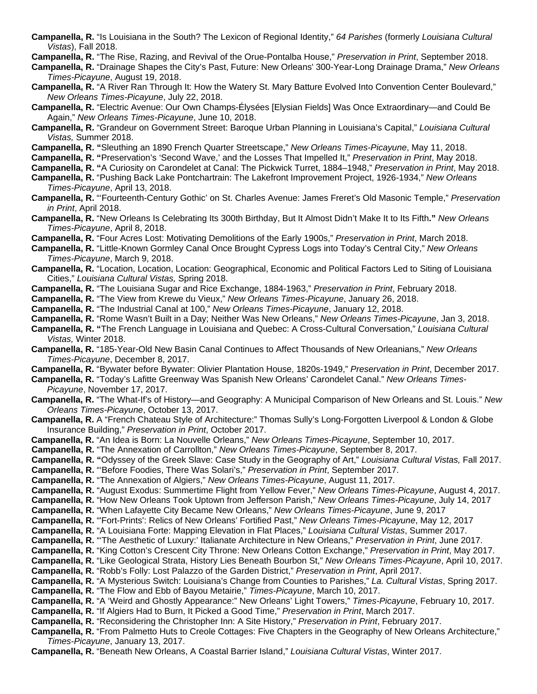**Campanella, R.** "Is Louisiana in the South? The Lexicon of Regional Identity," *64 Parishes* (formerly *Louisiana Cultural Vistas*), Fall 2018.

**Campanella, R.** "The Rise, Razing, and Revival of the Orue-Pontalba House," *Preservation in Print*, September 2018.

**Campanella, R.** "Drainage Shapes the City's Past, Future: New Orleans' 300-Year-Long Drainage Drama," *New Orleans Times-Picayune*, August 19, 2018.

- **Campanella, R.** "A River Ran Through It: How the Watery St. Mary Batture Evolved Into Convention Center Boulevard," *New Orleans Times-Picayune*, July 22, 2018.
- **Campanella, R.** "Electric Avenue: Our Own Champs-Élysées [Elysian Fields] Was Once Extraordinary—and Could Be Again," *New Orleans Times-Picayune*, June 10, 2018.
- **Campanella, R.** "Grandeur on Government Street: Baroque Urban Planning in Louisiana's Capital," *Louisiana Cultural Vistas,* Summer 2018.
- **Campanella, R. "**Sleuthing an 1890 French Quarter Streetscape," *New Orleans Times-Picayune*, May 11, 2018.

**Campanella, R. "**Preservation's 'Second Wave,' and the Losses That Impelled It," *Preservation in Print*, May 2018.

- **Campanella, R. "**A Curiosity on Carondelet at Canal: The Pickwick Turret, 1884–1948," *Preservation in Print*, May 2018.
- **Campanella, R.** "Pushing Back Lake Pontchartrain: The Lakefront Improvement Project, 1926-1934," *New Orleans Times-Picayune*, April 13, 2018.
- **Campanella, R.** "'Fourteenth-Century Gothic' on St. Charles Avenue: James Freret's Old Masonic Temple," *Preservation in Print*, April 2018.
- **Campanella, R.** "New Orleans Is Celebrating Its 300th Birthday, But It Almost Didn't Make It to Its Fifth**."** *New Orleans Times-Picayune*, April 8, 2018.
- **Campanella, R.** "Four Acres Lost: Motivating Demolitions of the Early 1900s," *Preservation in Print*, March 2018.
- **Campanella, R.** "Little-Known Gormley Canal Once Brought Cypress Logs into Today's Central City," *New Orleans Times-Picayune*, March 9, 2018.
- **Campanella, R.** "Location, Location, Location: Geographical, Economic and Political Factors Led to Siting of Louisiana Cities," *Louisiana Cultural Vistas,* Spring 2018.
- **Campanella, R.** "The Louisiana Sugar and Rice Exchange, 1884-1963," *Preservation in Print*, February 2018.
- **Campanella, R.** "The View from Krewe du Vieux," *New Orleans Times-Picayune*, January 26, 2018.
- **Campanella, R.** "The Industrial Canal at 100," *New Orleans Times-Picayune*, January 12, 2018.
- **Campanella, R.** "Rome Wasn't Built in a Day; Neither Was New Orleans," *New Orleans Times-Picayune*, Jan 3, 2018.
- **Campanella, R. "**The French Language in Louisiana and Quebec: A Cross-Cultural Conversation," *Louisiana Cultural Vistas,* Winter 2018.
- **Campanella, R.** "185-Year-Old New Basin Canal Continues to Affect Thousands of New Orleanians," *New Orleans Times-Picayune*, December 8, 2017.
- **Campanella, R.** "Bywater before Bywater: Olivier Plantation House, 1820s-1949," *Preservation in Print*, December 2017.
- **Campanella, R.** "Today's Lafitte Greenway Was Spanish New Orleans' Carondelet Canal." *New Orleans Times-Picayune*, November 17, 2017.
- **Campanella, R.** "The What-If's of History—and Geography: A Municipal Comparison of New Orleans and St. Louis." *New Orleans Times-Picayune*, October 13, 2017.
- **Campanella, R.** A "French Chateau Style of Architecture:" Thomas Sully's Long-Forgotten Liverpool & London & Globe Insurance Building," *Preservation in Print*, October 2017.
- **Campanella, R.** "An Idea is Born: La Nouvelle Orleans," *New Orleans Times-Picayune*, September 10, 2017.
- **Campanella, R.** "The Annexation of Carrollton," *New Orleans Times-Picayune*, September 8, 2017.
- **Campanella, R. "**Odyssey of the Greek Slave: Case Study in the Geography of Art," *Louisiana Cultural Vistas,* Fall 2017.
- **Campanella, R.** "'Before Foodies, There Was Solari's," *Preservation in Print*, September 2017.
- **Campanella, R.** "The Annexation of Algiers," *New Orleans Times-Picayune*, August 11, 2017.
- **Campanella, R.** "August Exodus: Summertime Flight from Yellow Fever," *New Orleans Times-Picayune*, August 4, 2017.
- **Campanella, R.** "How New Orleans Took Uptown from Jefferson Parish," *New Orleans Times-Picayune*, July 14, 2017
- **Campanella, R.** "When Lafayette City Became New Orleans," *New Orleans Times-Picayune*, June 9, 2017
- **Campanella, R.** "'Fort-Prints': Relics of New Orleans' Fortified Past," *New Orleans Times-Picayune*, May 12, 2017
- **Campanella, R.** "A Louisiana Forte: Mapping Elevation in Flat Places," *Louisiana Cultural Vistas*, Summer 2017.
- **Campanella, R.** "'The Aesthetic of Luxury:' Italianate Architecture in New Orleans," *Preservation in Print*, June 2017.
- **Campanella, R.** "King Cotton's Crescent City Throne: New Orleans Cotton Exchange," *Preservation in Print*, May 2017.
- **Campanella, R.** "Like Geological Strata, History Lies Beneath Bourbon St," *New Orleans Times-Picayune*, April 10, 2017.
- **Campanella, R.** "Robb's Folly: Lost Palazzo of the Garden District," *Preservation in Print*, April 2017.
- **Campanella, R.** "A Mysterious Switch: Louisiana's Change from Counties to Parishes," *La. Cultural Vistas*, Spring 2017.
- **Campanella, R.** "The Flow and Ebb of Bayou Metairie," *Times-Picayune*, March 10, 2017.
- **Campanella, R.** "A 'Weird and Ghostly Appearance:" New Orleans' Light Towers," *Times-Picayune*, February 10, 2017.
- **Campanella, R.** "If Algiers Had to Burn, It Picked a Good Time," *Preservation in Print*, March 2017.
- **Campanella, R.** "Reconsidering the Christopher Inn: A Site History," *Preservation in Print*, February 2017.
- **Campanella, R.** "From Palmetto Huts to Creole Cottages: Five Chapters in the Geography of New Orleans Architecture," *Times-Picayune*, January 13, 2017.
- **Campanella, R.** "Beneath New Orleans, A Coastal Barrier Island," *Louisiana Cultural Vistas*, Winter 2017.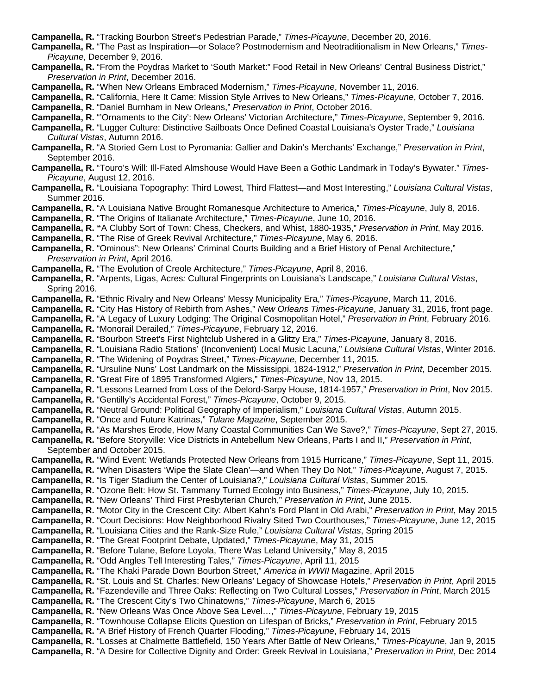**Campanella, R.** "Tracking Bourbon Street's Pedestrian Parade," *Times-Picayune*, December 20, 2016.

**Campanella, R.** "The Past as Inspiration—or Solace? Postmodernism and Neotraditionalism in New Orleans," *Times-Picayune*, December 9, 2016.

**Campanella, R.** "From the Poydras Market to 'South Market:" Food Retail in New Orleans' Central Business District," *Preservation in Print*, December 2016.

**Campanella, R.** "When New Orleans Embraced Modernism," *Times-Picayune*, November 11, 2016.

**Campanella, R.** "California, Here It Came: Mission Style Arrives to New Orleans," *Times-Picayune*, October 7, 2016.

**Campanella, R.** "Daniel Burnham in New Orleans," *Preservation in Print*, October 2016.

**Campanella, R.** "'Ornaments to the City': New Orleans' Victorian Architecture," *Times-Picayune*, September 9, 2016.

**Campanella, R.** "Lugger Culture: Distinctive Sailboats Once Defined Coastal Louisiana's Oyster Trade," *Louisiana Cultural Vistas*, Autumn 2016.

- **Campanella, R.** "A Storied Gem Lost to Pyromania: Gallier and Dakin's Merchants' Exchange," *Preservation in Print*, September 2016.
- **Campanella, R.** "Touro's Will: Ill-Fated Almshouse Would Have Been a Gothic Landmark in Today's Bywater." *Times-Picayune*, August 12, 2016.
- **Campanella, R.** "Louisiana Topography: Third Lowest, Third Flattest—and Most Interesting," *Louisiana Cultural Vistas*, Summer 2016.

**Campanella, R.** "A Louisiana Native Brought Romanesque Architecture to America," *Times-Picayune*, July 8, 2016.

**Campanella, R.** "The Origins of Italianate Architecture," *Times-Picayune*, June 10, 2016.

**Campanella, R. "**A Clubby Sort of Town: Chess, Checkers, and Whist, 1880-1935," *Preservation in Print*, May 2016.

**Campanella, R.** "The Rise of Greek Revival Architecture," *Times-Picayune*, May 6, 2016.

**Campanella, R.** "Ominous": New Orleans' Criminal Courts Building and a Brief History of Penal Architecture," *Preservation in Print*, April 2016.

**Campanella, R.** "The Evolution of Creole Architecture," *Times-Picayune*, April 8, 2016.

**Campanella, R.** "Arpents, Ligas, Acres*:* Cultural Fingerprints on Louisiana's Landscape," *Louisiana Cultural Vistas*, Spring 2016.

**Campanella, R.** "Ethnic Rivalry and New Orleans' Messy Municipality Era," *Times-Picayune*, March 11, 2016.

**Campanella, R.** "City Has History of Rebirth from Ashes," *New Orleans Times-Picayune*, January 31, 2016, front page.

**Campanella, R.** "A Legacy of Luxury Lodging: The Original Cosmopolitan Hotel," *Preservation in Print*, February 2016. **Campanella, R.** "Monorail Derailed," *Times-Picayune*, February 12, 2016.

**Campanella, R.** "Bourbon Street's First Nightclub Ushered in a Glitzy Era," *Times-Picayune*, January 8, 2016.

**Campanella, R.** "Louisiana Radio Stations' (Inconvenient) Local Music Lacuna," *Louisiana Cultural Vistas*, Winter 2016.

**Campanella, R.** "The Widening of Poydras Street," *Times-Picayune*, December 11, 2015.

**Campanella, R.** "Ursuline Nuns' Lost Landmark on the Mississippi, 1824-1912," *Preservation in Print*, December 2015.

**Campanella, R.** "Great Fire of 1895 Transformed Algiers," *Times-Picayune*, Nov 13, 2015.

**Campanella, R.** "Lessons Learned from Loss of the Delord-Sarpy House, 1814-1957," *Preservation in Print*, Nov 2015.

- **Campanella, R.** "Gentilly's Accidental Forest," *Times-Picayune*, October 9, 2015.
- **Campanella, R.** "Neutral Ground: Political Geography of Imperialism," *Louisiana Cultural Vistas*, Autumn 2015.
- **Campanella, R.** "Once and Future Katrinas," *Tulane Magazine*, September 2015.
- **Campanella, R.** "As Marshes Erode, How Many Coastal Communities Can We Save?," *Times-Picayune*, Sept 27, 2015.

**Campanella, R.** "Before Storyville: Vice Districts in Antebellum New Orleans, Parts I and II," *Preservation in Print*, September and October 2015.

**Campanella, R.** "Wind Event: Wetlands Protected New Orleans from 1915 Hurricane," *Times-Picayune*, Sept 11, 2015.

**Campanella, R.** "When Disasters 'Wipe the Slate Clean'—and When They Do Not," *Times-Picayune*, August 7, 2015.

**Campanella, R.** "Is Tiger Stadium the Center of Louisiana?," *Louisiana Cultural Vistas*, Summer 2015.

**Campanella, R.** "Ozone Belt: How St. Tammany Turned Ecology into Business," *Times-Picayune*, July 10, 2015.

**Campanella, R.** "New Orleans' Third First Presbyterian Church," *Preservation in Print*, June 2015.

**Campanella, R.** "Motor City in the Crescent City: Albert Kahn's Ford Plant in Old Arabi," *Preservation in Print*, May 2015

**Campanella, R.** "Court Decisions: How Neighborhood Rivalry Sited Two Courthouses," *Times-Picayune*, June 12, 2015

**Campanella, R.** "Louisiana Cities and the Rank-Size Rule," *Louisiana Cultural Vistas*, Spring 2015

**Campanella, R.** "The Great Footprint Debate, Updated," *Times-Picayune*, May 31, 2015

**Campanella, R.** "Before Tulane, Before Loyola, There Was Leland University," May 8, 2015

**Campanella, R.** "Odd Angles Tell Interesting Tales," *Times-Picayune*, April 11, 2015

**Campanella, R.** "The Khaki Parade Down Bourbon Street," *America in WWII* Magazine, April 2015

**Campanella, R.** "St. Louis and St. Charles: New Orleans' Legacy of Showcase Hotels," *Preservation in Print*, April 2015

**Campanella, R.** "Fazendeville and Three Oaks: Reflecting on Two Cultural Losses," *Preservation in Print*, March 2015

**Campanella, R.** "The Crescent City's Two Chinatowns," *Times-Picayune*, March 6, 2015

**Campanella, R.** "New Orleans Was Once Above Sea Level…," *Times-Picayune*, February 19, 2015

**Campanella, R.** "Townhouse Collapse Elicits Question on Lifespan of Bricks," *Preservation in Print*, February 2015

**Campanella, R.** "A Brief History of French Quarter Flooding," *Times-Picayune*, February 14, 2015

**Campanella, R.** "Losses at Chalmette Battlefield, 150 Years After Battle of New Orleans," *Times-Picayune*, Jan 9, 2015 **Campanella, R.** "A Desire for Collective Dignity and Order: Greek Revival in Louisiana," *Preservation in Print*, Dec 2014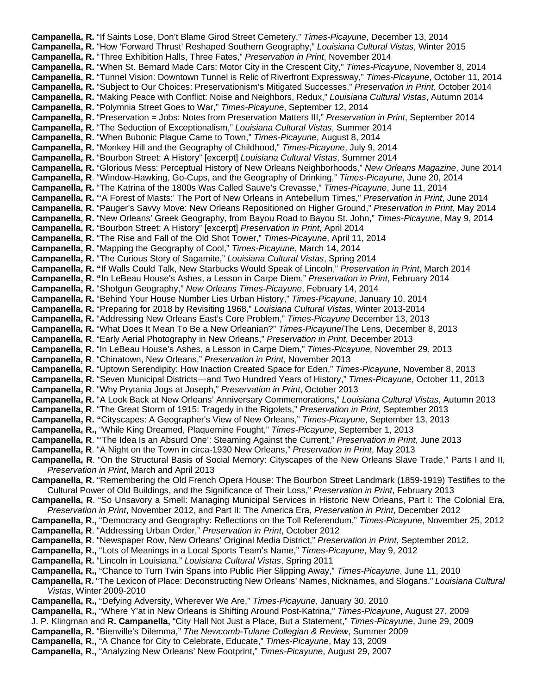**Campanella, R.** "If Saints Lose, Don't Blame Girod Street Cemetery," *Times-Picayune*, December 13, 2014 **Campanella, R.** "How 'Forward Thrust' Reshaped Southern Geography," *Louisiana Cultural Vistas*, Winter 2015 **Campanella, R.** "Three Exhibition Halls, Three Fates," *Preservation in Print*, November 2014 **Campanella, R.** "When St. Bernard Made Cars: Motor City in the Crescent City," *Times-Picayune*, November 8, 2014 **Campanella, R.** "Tunnel Vision: Downtown Tunnel is Relic of Riverfront Expressway," *Times-Picayune*, October 11, 2014 **Campanella, R.** "Subject to Our Choices: Preservationism's Mitigated Successes," *Preservation in Print*, October 2014 **Campanella, R.** "Making Peace with Conflict: Noise and Neighbors, Redux," *Louisiana Cultural Vistas*, Autumn 2014 **Campanella, R.** "Polymnia Street Goes to War," *Times-Picayune*, September 12, 2014 **Campanella, R.** "Preservation = Jobs: Notes from Preservation Matters III," *Preservation in Print*, September 2014 **Campanella, R.** "The Seduction of Exceptionalism," *Louisiana Cultural Vistas*, Summer 2014 **Campanella, R.** "When Bubonic Plague Came to Town," *Times-Picayune*, August 8, 2014 **Campanella, R.** "Monkey Hill and the Geography of Childhood," *Times-Picayune*, July 9, 2014 **Campanella, R.** "Bourbon Street: A History" [excerpt] *Louisiana Cultural Vistas*, Summer 2014 **Campanella, R.** "Glorious Mess: Perceptual History of New Orleans Neighborhoods," *New Orleans Magazine*, June 2014 **Campanella, R**. "Window-Hawking, Go-Cups, and the Geography of Drinking," *Times-Picayune*, June 20, 2014 **Campanella, R.** "The Katrina of the 1800s Was Called Sauve's Crevasse," *Times-Picayune*, June 11, 2014 **Campanella, R.** "'A Forest of Masts:' The Port of New Orleans in Antebellum Times," *Preservation in Print*, June 2014 **Campanella, R.** "Pauger's Savvy Move: New Orleans Repositioned on Higher Ground," *Preservation in Print*, May 2014 **Campanella, R.** "New Orleans' Greek Geography, from Bayou Road to Bayou St. John," *Times-Picayune*, May 9, 2014 **Campanella, R.** "Bourbon Street: A History" [excerpt] *Preservation in Print*, April 2014 **Campanella, R.** "The Rise and Fall of the Old Shot Tower," *Times-Picayune*, April 11, 2014 **Campanella, R.** "Mapping the Geography of Cool," *Times-Picayune*, March 14, 2014 **Campanella, R.** "The Curious Story of Sagamite," *Louisiana Cultural Vistas*, Spring 2014 **Campanella, R. "**If Walls Could Talk, New Starbucks Would Speak of Lincoln," *Preservation in Print*, March 2014 **Campanella, R. "**In LeBeau House's Ashes, a Lesson in Carpe Diem," *Preservation in Print*, February 2014 **Campanella, R.** "Shotgun Geography," *New Orleans Times-Picayune*, February 14, 2014 **Campanella, R.** "Behind Your House Number Lies Urban History," *Times-Picayune*, January 10, 2014 **Campanella, R.** "Preparing for 2018 by Revisiting 1968," *Louisiana Cultural Vistas*, Winter 2013-2014 **Campanella, R.** "Addressing New Orleans East's Core Problem," *Times-Picayune* December 13, 2013 **Campanella, R.** "What Does It Mean To Be a New Orleanian?" *Times-Picayune*/The Lens, December 8, 2013 **Campanella, R**. "Early Aerial Photography in New Orleans," *Preservation in Print*, December 2013 **Campanella, R.** "In LeBeau House's Ashes, a Lesson in Carpe Diem," *Times-Picayune,* November 29, 2013 **Campanella, R**. "Chinatown, New Orleans," *Preservation in Print*, November 2013 **Campanella, R.** "Uptown Serendipity: How Inaction Created Space for Eden," *Times-Picayune*, November 8, 2013 **Campanella, R.** "Seven Municipal Districts—and Two Hundred Years of History," *Times-Picayune*, October 11, 2013 **Campanella, R**. "Why Prytania Jogs at Joseph," *Preservation in Print*, October 2013 **Campanella, R.** "A Look Back at New Orleans' Anniversary Commemorations," *Louisiana Cultural Vistas*, Autumn 2013 **Campanella, R**. "The Great Storm of 1915: Tragedy in the Rigolets," *Preservation in Print*, September 2013 **Campanella, R. "**Cityscapes: A Geographer's View of New Orleans," *Times-Picayune*, September 13, 2013 **Campanella, R.,** "While King Dreamed, Plaquemine Fought," *Times-Picayune*, September 1, 2013 **Campanella, R**. "'The Idea Is an Absurd One': Steaming Against the Current," *Preservation in Print*, June 2013 **Campanella, R**. "A Night on the Town in circa-1930 New Orleans," *Preservation in Print*, May 2013 **Campanella, R**. "On the Structural Basis of Social Memory: Cityscapes of the New Orleans Slave Trade," Parts I and II, *Preservation in Print*, March and April 2013 **Campanella, R**. "Remembering the Old French Opera House: The Bourbon Street Landmark (1859-1919) Testifies to the Cultural Power of Old Buildings, and the Significance of Their Loss," *Preservation in Print*, February 2013 **Campanella, R**. "So Unsavory a Smell: Managing Municipal Services in Historic New Orleans, Part I: The Colonial Era, *Preservation in Print*, November 2012, and Part II: The America Era, *Preservation in Print*, December 2012 **Campanella, R.,** "Democracy and Geography: Reflections on the Toll Referendum," *Times-Picayune*, November 25, 2012 **Campanella, R**. "Addressing Urban Order," *Preservation in Print*, October 2012 **Campanella, R**. "Newspaper Row, New Orleans' Original Media District," *Preservation in Print*, September 2012. **Campanella, R.,** "Lots of Meanings in a Local Sports Team's Name," *Times-Picayune*, May 9, 2012 **Campanella, R.** "Lincoln in Louisiana." *Louisiana Cultural Vistas*, Spring 2011 **Campanella, R.,** "Chance to Turn Twin Spans into Public Pier Slipping Away," *Times-Picayune*, June 11, 2010 **Campanella, R.** "The Lexicon of Place: Deconstructing New Orleans' Names, Nicknames, and Slogans." *Louisiana Cultural Vistas*, Winter 2009-2010 **Campanella, R.,** "Defying Adversity, Wherever We Are," *Times-Picayune*, January 30, 2010 **Campanella, R.,** "Where Y'at in New Orleans is Shifting Around Post-Katrina," *Times-Picayune*, August 27, 2009 J. P. Klingman and **R. Campanella,** "City Hall Not Just a Place, But a Statement," *Times-Picayune*, June 29, 2009 **Campanella, R.** "Bienville's Dilemma," *The Newcomb-Tulane Collegian & Review*, Summer 2009 **Campanella, R.,** "A Chance for City to Celebrate, Educate," *Times-Picayune*, May 13, 2009

**Campanella, R.,** "Analyzing New Orleans' New Footprint," *Times-Picayune*, August 29, 2007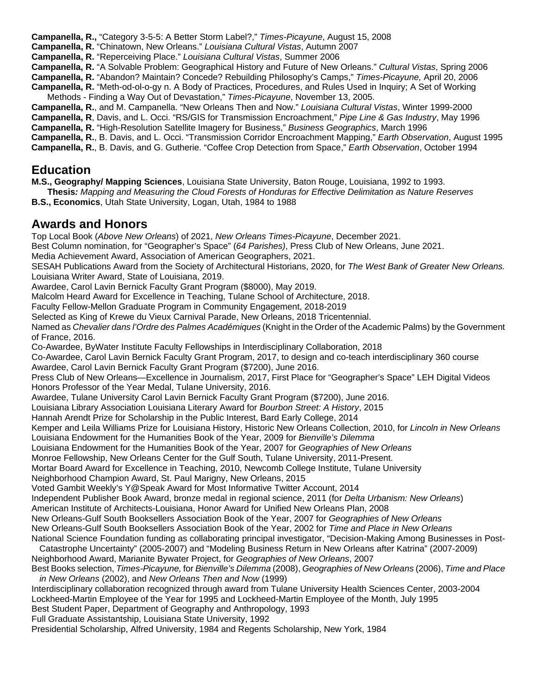**Campanella, R.,** "Category 3-5-5: A Better Storm Label?," *Times-Picayune*, August 15, 2008

**Campanella, R.** "Chinatown, New Orleans." *Louisiana Cultural Vistas*, Autumn 2007

**Campanella, R.** "Reperceiving Place." *Louisiana Cultural Vistas*, Summer 2006

**Campanella, R.** "A Solvable Problem: Geographical History and Future of New Orleans." *Cultural Vistas*, Spring 2006

**Campanella, R.** "Abandon? Maintain? Concede? Rebuilding Philosophy's Camps," *Times-Picayune,* April 20, 2006 **Campanella, R.** "Meth-od-ol-o-gy n. A Body of Practices, Procedures, and Rules Used in Inquiry; A Set of Working

Methods - Finding a Way Out of Devastation," *Times-Picayune*, November 13, 2005. **Campanella, R.**, and M. Campanella. "New Orleans Then and Now." *Louisiana Cultural Vistas*, Winter 1999-2000

**Campanella, R**, Davis, and L. Occi. "RS/GIS for Transmission Encroachment," *Pipe Line & Gas Industry*, May 1996 **Campanella, R.** "High-Resolution Satellite Imagery for Business," *Business Geographics*, March 1996

**Campanella, R.**, B. Davis, and L. Occi. "Transmission Corridor Encroachment Mapping," *Earth Observation*, August 1995

**Campanella, R.**, B. Davis, and G. Gutherie. "Coffee Crop Detection from Space," *Earth Observation*, October 1994

### **Education**

**M.S., Geography/ Mapping Sciences**, Louisiana State University, Baton Rouge, Louisiana, 1992 to 1993.

**Thesis***: Mapping and Measuring the Cloud Forests of Honduras for Effective Delimitation as Nature Reserves* **B.S., Economics**, Utah State University, Logan, Utah, 1984 to 1988

### **Awards and Honors**

Top Local Book (*Above New Orleans*) of 2021, *New Orleans Times-Picayune*, December 2021.

Best Column nomination, for "Geographer's Space" (*64 Parishes)*, Press Club of New Orleans, June 2021.

Media Achievement Award, Association of American Geographers, 2021.

SESAH Publications Award from the Society of Architectural Historians, 2020, for *The West Bank of Greater New Orleans.* Louisiana Writer Award, State of Louisiana, 2019.

Awardee, Carol Lavin Bernick Faculty Grant Program (\$8000), May 2019.

Malcolm Heard Award for Excellence in Teaching, Tulane School of Architecture, 2018.

Faculty Fellow-Mellon Graduate Program in Community Engagement, 2018-2019

Selected as King of Krewe du Vieux Carnival Parade, New Orleans, 2018 Tricentennial.

Named as *Chevalier dans l'Ordre des Palmes Académiques* (Knight in the Order of the Academic Palms) by the Government of France, 2016.

Co-Awardee, ByWater Institute Faculty Fellowships in Interdisciplinary Collaboration, 2018

Co-Awardee, Carol Lavin Bernick Faculty Grant Program, 2017, to design and co-teach interdisciplinary 360 course Awardee, Carol Lavin Bernick Faculty Grant Program (\$7200), June 2016.

Press Club of New Orleans—Excellence in Journalism, 2017, First Place for "Geographer's Space" LEH Digital Videos Honors Professor of the Year Medal, Tulane University, 2016.

Awardee, Tulane University Carol Lavin Bernick Faculty Grant Program (\$7200), June 2016.

Louisiana Library Association Louisiana Literary Award for *Bourbon Street: A History*, 2015

Hannah Arendt Prize for Scholarship in the Public Interest, Bard Early College, 2014

Kemper and Leila Williams Prize for Louisiana History, Historic New Orleans Collection, 2010, for *Lincoln in New Orleans*

Louisiana Endowment for the Humanities Book of the Year, 2009 for *Bienville's Dilemma*

Louisiana Endowment for the Humanities Book of the Year, 2007 for *Geographies of New Orleans*

Monroe Fellowship, New Orleans Center for the Gulf South, Tulane University, 2011-Present.

Mortar Board Award for Excellence in Teaching, 2010, Newcomb College Institute, Tulane University

Neighborhood Champion Award, St. Paul Marigny, New Orleans, 2015

Voted Gambit Weekly's Y@Speak Award for Most Informative Twitter Account, 2014

Independent Publisher Book Award, bronze medal in regional science, 2011 (for *Delta Urbanism: New Orleans*)

American Institute of Architects-Louisiana, Honor Award for Unified New Orleans Plan, 2008

New Orleans-Gulf South Booksellers Association Book of the Year, 2007 for *Geographies of New Orleans*

New Orleans-Gulf South Booksellers Association Book of the Year, 2002 for *Time and Place in New Orleans*

National Science Foundation funding as collaborating principal investigator, "Decision-Making Among Businesses in Post-

Catastrophe Uncertainty" (2005-2007) and "Modeling Business Return in New Orleans after Katrina" (2007-2009) Neighborhood Award, Marianite Bywater Project, for *Geographies of New Orleans*, 2007

Best Books selection, *Times-Picayune,* for *Bienville's Dilemma* (2008), *Geographies of New Orleans* (2006), *Time and Place in New Orleans* (2002), and *New Orleans Then and Now* (1999)

Interdisciplinary collaboration recognized through award from Tulane University Health Sciences Center, 2003-2004

Lockheed-Martin Employee of the Year for 1995 and Lockheed-Martin Employee of the Month, July 1995

Best Student Paper, Department of Geography and Anthropology, 1993

Full Graduate Assistantship, Louisiana State University, 1992

Presidential Scholarship, Alfred University, 1984 and Regents Scholarship, New York, 1984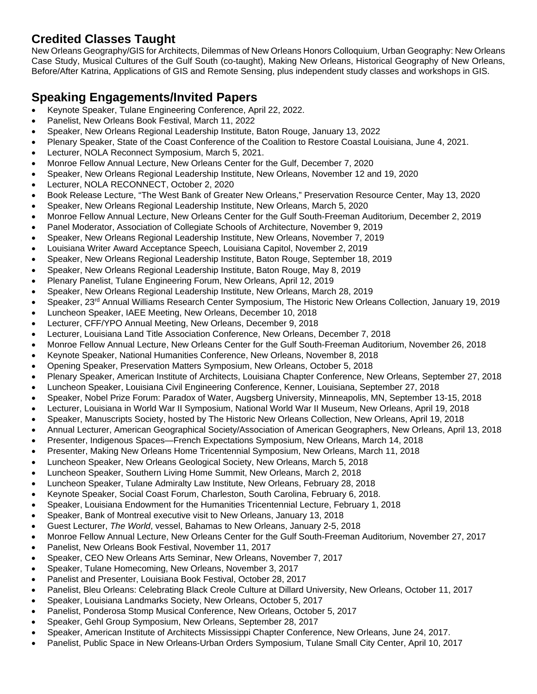## **Credited Classes Taught**

New Orleans Geography/GIS for Architects, Dilemmas of New Orleans Honors Colloquium, Urban Geography: New Orleans Case Study, Musical Cultures of the Gulf South (co-taught), Making New Orleans, Historical Geography of New Orleans, Before/After Katrina, Applications of GIS and Remote Sensing, plus independent study classes and workshops in GIS.

## **Speaking Engagements/Invited Papers**

- Keynote Speaker, Tulane Engineering Conference, April 22, 2022.
- Panelist, New Orleans Book Festival, March 11, 2022
- Speaker, New Orleans Regional Leadership Institute, Baton Rouge, January 13, 2022
- Plenary Speaker, State of the Coast Conference of the Coalition to Restore Coastal Louisiana, June 4, 2021.
- Lecturer, NOLA Reconnect Symposium, March 5, 2021.
- Monroe Fellow Annual Lecture, New Orleans Center for the Gulf, December 7, 2020
- Speaker, New Orleans Regional Leadership Institute, New Orleans, November 12 and 19, 2020
- Lecturer, NOLA RECONNECT, October 2, 2020
- Book Release Lecture, "The West Bank of Greater New Orleans," Preservation Resource Center, May 13, 2020
- Speaker, New Orleans Regional Leadership Institute, New Orleans, March 5, 2020
- Monroe Fellow Annual Lecture, New Orleans Center for the Gulf South-Freeman Auditorium, December 2, 2019
- Panel Moderator, Association of Collegiate Schools of Architecture, November 9, 2019
- Speaker, New Orleans Regional Leadership Institute, New Orleans, November 7, 2019
- Louisiana Writer Award Acceptance Speech, Louisiana Capitol, November 2, 2019
- Speaker, New Orleans Regional Leadership Institute, Baton Rouge, September 18, 2019
- Speaker, New Orleans Regional Leadership Institute, Baton Rouge, May 8, 2019
- Plenary Panelist, Tulane Engineering Forum, New Orleans, April 12, 2019
- Speaker, New Orleans Regional Leadership Institute, New Orleans, March 28, 2019
- Speaker, 23rd Annual Williams Research Center Symposium, The Historic New Orleans Collection, January 19, 2019
- Luncheon Speaker, IAEE Meeting, New Orleans, December 10, 2018
- Lecturer, CFF/YPO Annual Meeting, New Orleans, December 9, 2018
- Lecturer, Louisiana Land Title Association Conference, New Orleans, December 7, 2018
- Monroe Fellow Annual Lecture, New Orleans Center for the Gulf South-Freeman Auditorium, November 26, 2018
- Keynote Speaker, National Humanities Conference, New Orleans, November 8, 2018
- Opening Speaker, Preservation Matters Symposium, New Orleans, October 5, 2018
- Plenary Speaker, American Institute of Architects, Louisiana Chapter Conference, New Orleans, September 27, 2018
- Luncheon Speaker, Louisiana Civil Engineering Conference, Kenner, Louisiana, September 27, 2018
- Speaker, Nobel Prize Forum: Paradox of Water, Augsberg University, Minneapolis, MN, September 13-15, 2018
- Lecturer, Louisiana in World War II Symposium, National World War II Museum, New Orleans, April 19, 2018
- Speaker, Manuscripts Society, hosted by The Historic New Orleans Collection, New Orleans, April 19, 2018
- Annual Lecturer, American Geographical Society/Association of American Geographers, New Orleans, April 13, 2018
- Presenter, Indigenous Spaces—French Expectations Symposium, New Orleans, March 14, 2018
- Presenter, Making New Orleans Home Tricentennial Symposium, New Orleans, March 11, 2018
- Luncheon Speaker, New Orleans Geological Society, New Orleans, March 5, 2018
- Luncheon Speaker, Southern Living Home Summit, New Orleans, March 2, 2018
- Luncheon Speaker, Tulane Admiralty Law Institute, New Orleans, February 28, 2018
- Keynote Speaker, Social Coast Forum, Charleston, South Carolina, February 6, 2018.
- Speaker, Louisiana Endowment for the Humanities Tricentennial Lecture, February 1, 2018
- Speaker, Bank of Montreal executive visit to New Orleans, January 13, 2018
- Guest Lecturer, *The World*, vessel, Bahamas to New Orleans, January 2-5, 2018
- Monroe Fellow Annual Lecture, New Orleans Center for the Gulf South-Freeman Auditorium, November 27, 2017
- Panelist, New Orleans Book Festival, November 11, 2017
- Speaker, CEO New Orleans Arts Seminar, New Orleans, November 7, 2017
- Speaker, Tulane Homecoming, New Orleans, November 3, 2017
- Panelist and Presenter, Louisiana Book Festival, October 28, 2017
- Panelist, Bleu Orleans: Celebrating Black Creole Culture at Dillard University, New Orleans, October 11, 2017
- Speaker, Louisiana Landmarks Society, New Orleans, October 5, 2017
- Panelist, Ponderosa Stomp Musical Conference, New Orleans, October 5, 2017
- Speaker, Gehl Group Symposium, New Orleans, September 28, 2017
- Speaker, American Institute of Architects Mississippi Chapter Conference, New Orleans, June 24, 2017.
- Panelist, Public Space in New Orleans-Urban Orders Symposium, Tulane Small City Center, April 10, 2017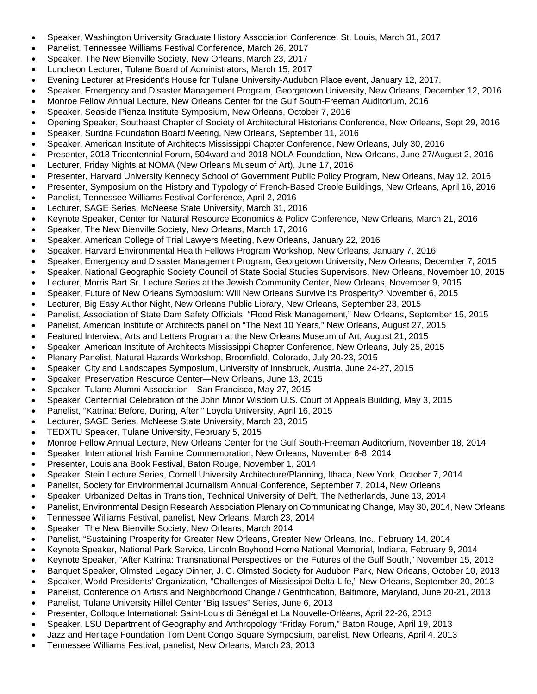- Speaker, Washington University Graduate History Association Conference, St. Louis, March 31, 2017
- Panelist, Tennessee Williams Festival Conference, March 26, 2017
- Speaker, The New Bienville Society, New Orleans, March 23, 2017
- Luncheon Lecturer, Tulane Board of Administrators, March 15, 2017
- Evening Lecturer at President's House for Tulane University-Audubon Place event, January 12, 2017.
- Speaker, Emergency and Disaster Management Program, Georgetown University, New Orleans, December 12, 2016
- Monroe Fellow Annual Lecture, New Orleans Center for the Gulf South-Freeman Auditorium, 2016
- Speaker, Seaside Pienza Institute Symposium, New Orleans, October 7, 2016
- Opening Speaker, Southeast Chapter of Society of Architectural Historians Conference, New Orleans, Sept 29, 2016
- Speaker, Surdna Foundation Board Meeting, New Orleans, September 11, 2016
- Speaker, American Institute of Architects Mississippi Chapter Conference, New Orleans, July 30, 2016
- Presenter, 2018 Tricentennial Forum, 504ward and 2018 NOLA Foundation, New Orleans, June 27/August 2, 2016
- Lecturer, Friday Nights at NOMA (New Orleans Museum of Art), June 17, 2016
- Presenter, Harvard University Kennedy School of Government Public Policy Program, New Orleans, May 12, 2016
- Presenter, Symposium on the History and Typology of French-Based Creole Buildings, New Orleans, April 16, 2016
- Panelist, Tennessee Williams Festival Conference, April 2, 2016
- Lecturer, SAGE Series, McNeese State University, March 31, 2016
- Keynote Speaker, Center for Natural Resource Economics & Policy Conference, New Orleans, March 21, 2016
- Speaker, The New Bienville Society, New Orleans, March 17, 2016
- Speaker, American College of Trial Lawyers Meeting, New Orleans, January 22, 2016
- Speaker, Harvard Environmental Health Fellows Program Workshop, New Orleans, January 7, 2016
- Speaker, Emergency and Disaster Management Program, Georgetown University, New Orleans, December 7, 2015
- Speaker, National Geographic Society Council of State Social Studies Supervisors, New Orleans, November 10, 2015
- Lecturer, Morris Bart Sr. Lecture Series at the Jewish Community Center, New Orleans, November 9, 2015
- Speaker, Future of New Orleans Symposium: Will New Orleans Survive Its Prosperity? November 6, 2015
- Lecturer, Big Easy Author Night, New Orleans Public Library, New Orleans, September 23, 2015
- Panelist, Association of State Dam Safety Officials, "Flood Risk Management," New Orleans, September 15, 2015
- Panelist, American Institute of Architects panel on "The Next 10 Years," New Orleans, August 27, 2015
- Featured Interview, Arts and Letters Program at the New Orleans Museum of Art, August 21, 2015
- Speaker, American Institute of Architects Mississippi Chapter Conference, New Orleans, July 25, 2015
- Plenary Panelist, Natural Hazards Workshop, Broomfield, Colorado, July 20-23, 2015
- Speaker, City and Landscapes Symposium, University of Innsbruck, Austria, June 24-27, 2015
- Speaker, Preservation Resource Center—New Orleans, June 13, 2015
- Speaker, Tulane Alumni Association—San Francisco, May 27, 2015
- Speaker, Centennial Celebration of the John Minor Wisdom U.S. Court of Appeals Building, May 3, 2015
- Panelist, "Katrina: Before, During, After," Loyola University, April 16, 2015
- Lecturer, SAGE Series, McNeese State University, March 23, 2015
- TEDXTU Speaker, Tulane University, February 5, 2015
- Monroe Fellow Annual Lecture, New Orleans Center for the Gulf South-Freeman Auditorium, November 18, 2014
- Speaker, International Irish Famine Commemoration, New Orleans, November 6-8, 2014
- Presenter, Louisiana Book Festival, Baton Rouge, November 1, 2014
- Speaker, Stein Lecture Series, Cornell University Architecture/Planning, Ithaca, New York, October 7, 2014
- Panelist, Society for Environmental Journalism Annual Conference, September 7, 2014, New Orleans
- Speaker, Urbanized Deltas in Transition, Technical University of Delft, The Netherlands, June 13, 2014
- Panelist, Environmental Design Research Association Plenary on Communicating Change, May 30, 2014, New Orleans
- Tennessee Williams Festival, panelist, New Orleans, March 23, 2014
- Speaker, The New Bienville Society, New Orleans, March 2014
- Panelist, "Sustaining Prosperity for Greater New Orleans, Greater New Orleans, Inc., February 14, 2014
- Keynote Speaker, National Park Service, Lincoln Boyhood Home National Memorial, Indiana, February 9, 2014
- Keynote Speaker, "After Katrina: Transnational Perspectives on the Futures of the Gulf South," November 15, 2013
- Banquet Speaker, Olmsted Legacy Dinner, J. C. Olmsted Society for Audubon Park, New Orleans, October 10, 2013
- Speaker, World Presidents' Organization, "Challenges of Mississippi Delta Life," New Orleans, September 20, 2013
- Panelist, Conference on Artists and Neighborhood Change / Gentrification, Baltimore, Maryland, June 20-21, 2013
- Panelist, Tulane University Hillel Center "Big Issues" Series, June 6, 2013
- Presenter, Colloque International: Saint-Louis di Sénégal et La Nouvelle-Orléans, April 22-26, 2013
- Speaker, LSU Department of Geography and Anthropology "Friday Forum," Baton Rouge, April 19, 2013
- Jazz and Heritage Foundation Tom Dent Congo Square Symposium, panelist, New Orleans, April 4, 2013
- Tennessee Williams Festival, panelist, New Orleans, March 23, 2013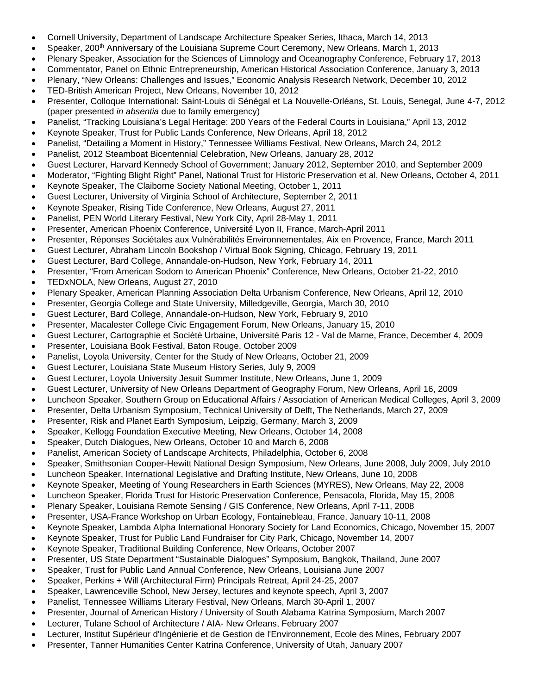- Cornell University, Department of Landscape Architecture Speaker Series, Ithaca, March 14, 2013
- Speaker, 200<sup>th</sup> Anniversary of the Louisiana Supreme Court Ceremony, New Orleans, March 1, 2013
- Plenary Speaker, Association for the Sciences of Limnology and Oceanography Conference, February 17, 2013
- Commentator, Panel on Ethnic Entrepreneurship, American Historical Association Conference, January 3, 2013
- Plenary, "New Orleans: Challenges and Issues," Economic Analysis Research Network, December 10, 2012
- TED-British American Project, New Orleans, November 10, 2012
- Presenter, Colloque International: Saint-Louis di Sénégal et La Nouvelle-Orléans, St. Louis, Senegal, June 4-7, 2012 (paper presented *in absentia* due to family emergency)
- Panelist, "Tracking Louisiana's Legal Heritage: 200 Years of the Federal Courts in Louisiana," April 13, 2012
- Keynote Speaker, Trust for Public Lands Conference, New Orleans, April 18, 2012
- Panelist, "Detailing a Moment in History," Tennessee Williams Festival, New Orleans, March 24, 2012
- Panelist, 2012 Steamboat Bicentennial Celebration, New Orleans, January 28, 2012
- Guest Lecturer, Harvard Kennedy School of Government; January 2012, September 2010, and September 2009
- Moderator, "Fighting Blight Right" Panel, National Trust for Historic Preservation et al, New Orleans, October 4, 2011
- Keynote Speaker, The Claiborne Society National Meeting, October 1, 2011
- Guest Lecturer, University of Virginia School of Architecture, September 2, 2011
- Keynote Speaker, Rising Tide Conference, New Orleans, August 27, 2011
- Panelist, PEN World Literary Festival, New York City, April 28-May 1, 2011
- Presenter, American Phoenix Conference, Université Lyon II, France, March-April 2011
- Presenter, Réponses Sociétales aux Vulnérabilités Environnementales, Aix en Provence, France, March 2011
- Guest Lecturer, Abraham Lincoln Bookshop / Virtual Book Signing, Chicago, February 19, 2011
- Guest Lecturer, Bard College, Annandale-on-Hudson, New York, February 14, 2011
- Presenter, "From American Sodom to American Phoenix" Conference, New Orleans, October 21-22, 2010
- TEDxNOLA, New Orleans, August 27, 2010
- Plenary Speaker, American Planning Association Delta Urbanism Conference, New Orleans, April 12, 2010
- Presenter, Georgia College and State University, Milledgeville, Georgia, March 30, 2010
- Guest Lecturer, Bard College, Annandale-on-Hudson, New York, February 9, 2010
- Presenter, Macalester College Civic Engagement Forum, New Orleans, January 15, 2010
- Guest Lecturer, Cartographie et Société Urbaine, Université Paris 12 Val de Marne, France, December 4, 2009
- Presenter, Louisiana Book Festival, Baton Rouge, October 2009
- Panelist, Loyola University, Center for the Study of New Orleans, October 21, 2009
- Guest Lecturer, Louisiana State Museum History Series, July 9, 2009
- Guest Lecturer, Loyola University Jesuit Summer Institute, New Orleans, June 1, 2009
- Guest Lecturer, University of New Orleans Department of Geography Forum, New Orleans, April 16, 2009
- Luncheon Speaker, Southern Group on Educational Affairs / Association of American Medical Colleges, April 3, 2009
- Presenter, Delta Urbanism Symposium, Technical University of Delft, The Netherlands, March 27, 2009
- Presenter, Risk and Planet Earth Symposium, Leipzig, Germany, March 3, 2009
- Speaker, Kellogg Foundation Executive Meeting, New Orleans, October 14, 2008
- Speaker, Dutch Dialogues, New Orleans, October 10 and March 6, 2008
- Panelist, American Society of Landscape Architects, Philadelphia, October 6, 2008
- Speaker, Smithsonian Cooper-Hewitt National Design Symposium, New Orleans, June 2008, July 2009, July 2010
- Luncheon Speaker, International Legislative and Drafting Institute, New Orleans, June 10, 2008
- Keynote Speaker, Meeting of Young Researchers in Earth Sciences (MYRES), New Orleans, May 22, 2008
- Luncheon Speaker, Florida Trust for Historic Preservation Conference, Pensacola, Florida, May 15, 2008
- Plenary Speaker, Louisiana Remote Sensing / GIS Conference, New Orleans, April 7-11, 2008
- Presenter, USA-France Workshop on Urban Ecology, Fontainebleau, France, January 10-11, 2008
- Keynote Speaker, Lambda Alpha International Honorary Society for Land Economics, Chicago, November 15, 2007
- Keynote Speaker, Trust for Public Land Fundraiser for City Park, Chicago, November 14, 2007
- Keynote Speaker, Traditional Building Conference, New Orleans, October 2007
- Presenter, US State Department "Sustainable Dialogues" Symposium, Bangkok, Thailand, June 2007
- Speaker, Trust for Public Land Annual Conference, New Orleans, Louisiana June 2007
- Speaker, Perkins + Will (Architectural Firm) Principals Retreat, April 24-25, 2007
- Speaker, Lawrenceville School, New Jersey, lectures and keynote speech, April 3, 2007
- Panelist, Tennessee Williams Literary Festival, New Orleans, March 30-April 1, 2007
- Presenter, Journal of American History / University of South Alabama Katrina Symposium, March 2007
- Lecturer, Tulane School of Architecture / AIA- New Orleans, February 2007
- Lecturer, Institut Supérieur d'Ingénierie et de Gestion de l'Environnement, Ecole des Mines, February 2007
- Presenter, Tanner Humanities Center Katrina Conference, University of Utah, January 2007